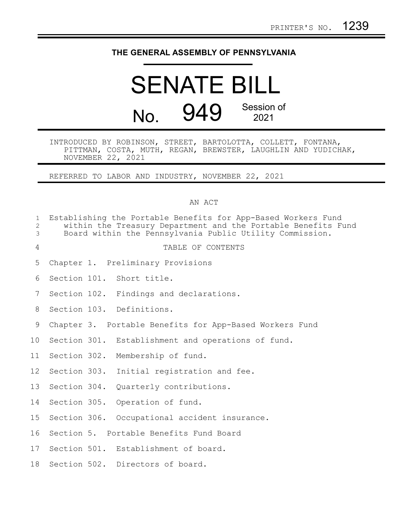## **THE GENERAL ASSEMBLY OF PENNSYLVANIA**

# SENATE BILL No. 949 Session of 2021

INTRODUCED BY ROBINSON, STREET, BARTOLOTTA, COLLETT, FONTANA, PITTMAN, COSTA, MUTH, REGAN, BREWSTER, LAUGHLIN AND YUDICHAK, NOVEMBER 22, 2021

REFERRED TO LABOR AND INDUSTRY, NOVEMBER 22, 2021

### AN ACT

| $\mathbf{1}$<br>$\overline{2}$<br>$\mathfrak{Z}$ |  | Establishing the Portable Benefits for App-Based Workers Fund<br>within the Treasury Department and the Portable Benefits Fund<br>Board within the Pennsylvania Public Utility Commission. |
|--------------------------------------------------|--|--------------------------------------------------------------------------------------------------------------------------------------------------------------------------------------------|
| 4                                                |  | TABLE OF CONTENTS                                                                                                                                                                          |
| 5                                                |  | Chapter 1. Preliminary Provisions                                                                                                                                                          |
| 6                                                |  | Section 101. Short title.                                                                                                                                                                  |
| $7\phantom{.}$                                   |  | Section 102. Findings and declarations.                                                                                                                                                    |
| 8                                                |  | Section 103. Definitions.                                                                                                                                                                  |
| 9                                                |  | Chapter 3. Portable Benefits for App-Based Workers Fund                                                                                                                                    |
| 10 <sup>°</sup>                                  |  | Section 301. Establishment and operations of fund.                                                                                                                                         |
| 11                                               |  | Section 302. Membership of fund.                                                                                                                                                           |
| 12 <sup>°</sup>                                  |  | Section 303. Initial registration and fee.                                                                                                                                                 |
| 13                                               |  | Section 304. Quarterly contributions.                                                                                                                                                      |
| 14                                               |  | Section 305. Operation of fund.                                                                                                                                                            |
| 15                                               |  | Section 306. Occupational accident insurance.                                                                                                                                              |
| 16                                               |  | Section 5. Portable Benefits Fund Board                                                                                                                                                    |
| 17                                               |  | Section 501. Establishment of board.                                                                                                                                                       |
| 18                                               |  | Section 502. Directors of board.                                                                                                                                                           |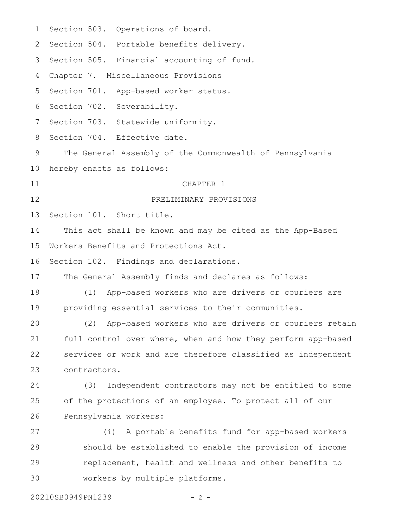| 1  | Section 503. Operations of board.                            |
|----|--------------------------------------------------------------|
| 2  | Section 504. Portable benefits delivery.                     |
| 3  | Section 505. Financial accounting of fund.                   |
| 4  | Chapter 7. Miscellaneous Provisions                          |
| 5  | Section 701. App-based worker status.                        |
| 6  | Section 702. Severability.                                   |
| 7  | Section 703. Statewide uniformity.                           |
| 8  | Section 704. Effective date.                                 |
| 9  | The General Assembly of the Commonwealth of Pennsylvania     |
| 10 | hereby enacts as follows:                                    |
| 11 | CHAPTER 1                                                    |
| 12 | PRELIMINARY PROVISIONS                                       |
| 13 | Section 101. Short title.                                    |
| 14 | This act shall be known and may be cited as the App-Based    |
| 15 | Workers Benefits and Protections Act.                        |
| 16 | Section 102. Findings and declarations.                      |
| 17 | The General Assembly finds and declares as follows:          |
| 18 | App-based workers who are drivers or couriers are<br>(1)     |
| 19 | providing essential services to their communities.           |
| 20 | (2) App-based workers who are drivers or couriers retain     |
| 21 | full control over where, when and how they perform app-based |
| 22 | services or work and are therefore classified as independent |
| 23 | contractors.                                                 |
| 24 | Independent contractors may not be entitled to some<br>(3)   |
| 25 | of the protections of an employee. To protect all of our     |
| 26 | Pennsylvania workers:                                        |
| 27 | (i) A portable benefits fund for app-based workers           |
| 28 | should be established to enable the provision of income      |
| 29 | replacement, health and wellness and other benefits to       |
| 30 | workers by multiple platforms.                               |

20210SB0949PN1239 - 2 -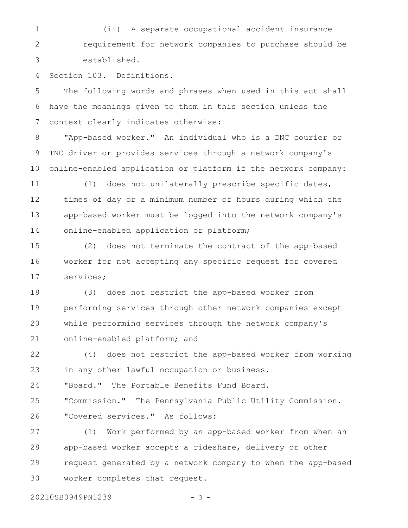(ii) A separate occupational accident insurance requirement for network companies to purchase should be established. 1 2 3

Section 103. Definitions. 4

The following words and phrases when used in this act shall have the meanings given to them in this section unless the context clearly indicates otherwise: 5 6 7

"App-based worker." An individual who is a DNC courier or TNC driver or provides services through a network company's online-enabled application or platform if the network company: 8 9 10

(1) does not unilaterally prescribe specific dates, times of day or a minimum number of hours during which the app-based worker must be logged into the network company's online-enabled application or platform; 11 12 13 14

(2) does not terminate the contract of the app-based worker for not accepting any specific request for covered services; 15 16 17

(3) does not restrict the app-based worker from performing services through other network companies except while performing services through the network company's online-enabled platform; and 18 19 20 21

(4) does not restrict the app-based worker from working in any other lawful occupation or business. "Board." The Portable Benefits Fund Board. 22 23 24

"Commission." The Pennsylvania Public Utility Commission. "Covered services." As follows: 25 26

(1) Work performed by an app-based worker from when an app-based worker accepts a rideshare, delivery or other request generated by a network company to when the app-based worker completes that request. 27 28 29 30

20210SB0949PN1239 - 3 -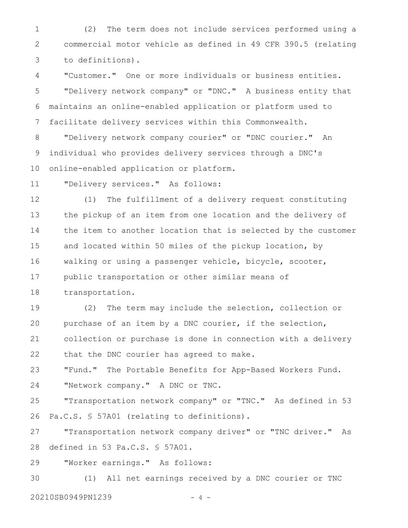(2) The term does not include services performed using a commercial motor vehicle as defined in 49 CFR 390.5 (relating to definitions). 1 2 3

"Customer." One or more individuals or business entities. "Delivery network company" or "DNC." A business entity that maintains an online-enabled application or platform used to facilitate delivery services within this Commonwealth. 4 5 6 7

"Delivery network company courier" or "DNC courier." An individual who provides delivery services through a DNC's online-enabled application or platform. 8 9 10

"Delivery services." As follows: 11

(1) The fulfillment of a delivery request constituting the pickup of an item from one location and the delivery of the item to another location that is selected by the customer and located within 50 miles of the pickup location, by walking or using a passenger vehicle, bicycle, scooter, public transportation or other similar means of transportation. 12 13 14 15 16 17 18

(2) The term may include the selection, collection or purchase of an item by a DNC courier, if the selection, collection or purchase is done in connection with a delivery that the DNC courier has agreed to make. 19 20 21 22

"Fund." The Portable Benefits for App-Based Workers Fund. "Network company." A DNC or TNC. 23 24

"Transportation network company" or "TNC." As defined in 53 Pa.C.S. § 57A01 (relating to definitions). 25 26

"Transportation network company driver" or "TNC driver." As defined in 53 Pa.C.S. § 57A01. 27 28

"Worker earnings." As follows: 29

(1) All net earnings received by a DNC courier or TNC 20210SB0949PN1239 - 4 -30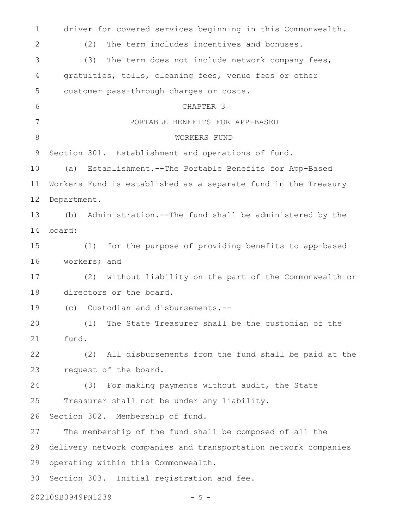driver for covered services beginning in this Commonwealth. (2) The term includes incentives and bonuses. (3) The term does not include network company fees, gratuities, tolls, cleaning fees, venue fees or other customer pass-through charges or costs. CHAPTER 3 PORTABLE BENEFITS FOR APP-BASED WORKERS FUND Section 301. Establishment and operations of fund. (a) Establishment.--The Portable Benefits for App-Based Workers Fund is established as a separate fund in the Treasury Department. (b) Administration.--The fund shall be administered by the board: (1) for the purpose of providing benefits to app-based workers; and (2) without liability on the part of the Commonwealth or directors or the board. (c) Custodian and disbursements.-- (1) The State Treasurer shall be the custodian of the fund. (2) All disbursements from the fund shall be paid at the request of the board. (3) For making payments without audit, the State Treasurer shall not be under any liability. Section 302. Membership of fund. The membership of the fund shall be composed of all the delivery network companies and transportation network companies operating within this Commonwealth. Section 303. Initial registration and fee. 20210SB0949PN1239 - 5 -1 2 3 4 5 6 7 8 9 10 11 12 13 14 15 16 17 18 19 20 21 22 23 24 25 26 27 28 29 30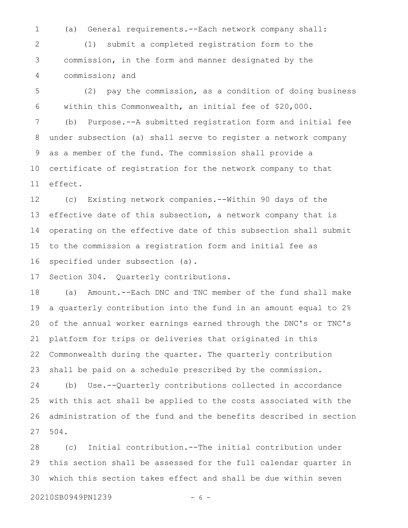1

(a) General requirements.--Each network company shall:

(1) submit a completed registration form to the commission, in the form and manner designated by the commission; and 2 3 4

(2) pay the commission, as a condition of doing business within this Commonwealth, an initial fee of \$20,000. (b) Purpose.--A submitted registration form and initial fee under subsection (a) shall serve to register a network company as a member of the fund. The commission shall provide a certificate of registration for the network company to that effect. 5 6 7 8 9 10 11

(c) Existing network companies.--Within 90 days of the effective date of this subsection, a network company that is operating on the effective date of this subsection shall submit to the commission a registration form and initial fee as specified under subsection (a). 12 13 14 15 16

Section 304. Quarterly contributions. 17

(a) Amount.--Each DNC and TNC member of the fund shall make a quarterly contribution into the fund in an amount equal to 2% of the annual worker earnings earned through the DNC's or TNC's platform for trips or deliveries that originated in this Commonwealth during the quarter. The quarterly contribution shall be paid on a schedule prescribed by the commission. 18 19 20 21 22 23

(b) Use.--Quarterly contributions collected in accordance with this act shall be applied to the costs associated with the administration of the fund and the benefits described in section 504. 24 25 26 27

(c) Initial contribution.--The initial contribution under this section shall be assessed for the full calendar quarter in which this section takes effect and shall be due within seven 28 29 30

20210SB0949PN1239 - 6 -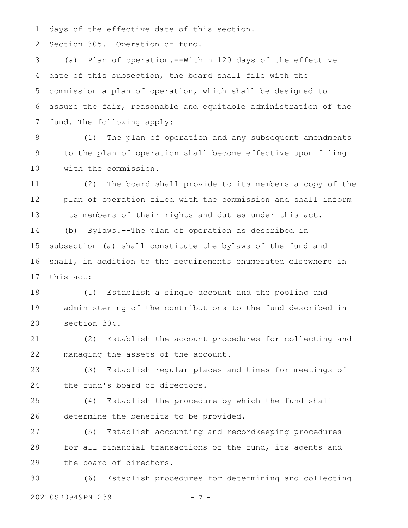days of the effective date of this section. 1

Section 305. Operation of fund. 2

(a) Plan of operation.--Within 120 days of the effective date of this subsection, the board shall file with the commission a plan of operation, which shall be designed to assure the fair, reasonable and equitable administration of the fund. The following apply: 3 4 5 6 7

(1) The plan of operation and any subsequent amendments to the plan of operation shall become effective upon filing with the commission. 8 9 10

(2) The board shall provide to its members a copy of the plan of operation filed with the commission and shall inform its members of their rights and duties under this act. 11 12 13

(b) Bylaws.--The plan of operation as described in subsection (a) shall constitute the bylaws of the fund and shall, in addition to the requirements enumerated elsewhere in this act: 14 15 16 17

(1) Establish a single account and the pooling and administering of the contributions to the fund described in section 304. 18 19 20

(2) Establish the account procedures for collecting and managing the assets of the account. 21 22

(3) Establish regular places and times for meetings of the fund's board of directors. 23 24

(4) Establish the procedure by which the fund shall determine the benefits to be provided. 25 26

(5) Establish accounting and recordkeeping procedures for all financial transactions of the fund, its agents and the board of directors. 27 28 29

(6) Establish procedures for determining and collecting 20210SB0949PN1239 - 7 -30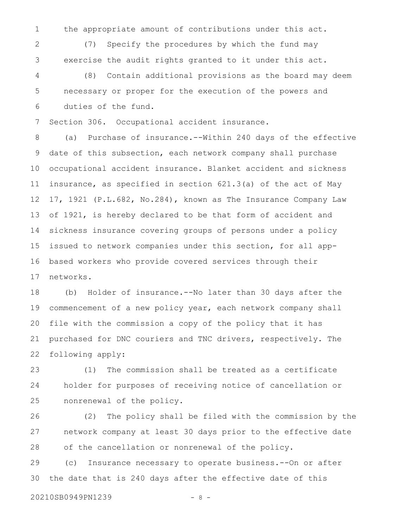the appropriate amount of contributions under this act. 1

(7) Specify the procedures by which the fund may exercise the audit rights granted to it under this act. 2 3

(8) Contain additional provisions as the board may deem necessary or proper for the execution of the powers and duties of the fund. 4 5 6

Section 306. Occupational accident insurance. 7

(a) Purchase of insurance.--Within 240 days of the effective date of this subsection, each network company shall purchase occupational accident insurance. Blanket accident and sickness insurance, as specified in section 621.3(a) of the act of May 17, 1921 (P.L.682, No.284), known as The Insurance Company Law of 1921, is hereby declared to be that form of accident and sickness insurance covering groups of persons under a policy issued to network companies under this section, for all appbased workers who provide covered services through their networks. 8 9 10 11 12 13 14 15 16 17

(b) Holder of insurance.--No later than 30 days after the commencement of a new policy year, each network company shall file with the commission a copy of the policy that it has purchased for DNC couriers and TNC drivers, respectively. The following apply: 18 19 20 21 22

(1) The commission shall be treated as a certificate holder for purposes of receiving notice of cancellation or nonrenewal of the policy. 23 24 25

(2) The policy shall be filed with the commission by the network company at least 30 days prior to the effective date of the cancellation or nonrenewal of the policy. 26 27 28

(c) Insurance necessary to operate business.--On or after the date that is 240 days after the effective date of this 29 30

20210SB0949PN1239 - 8 -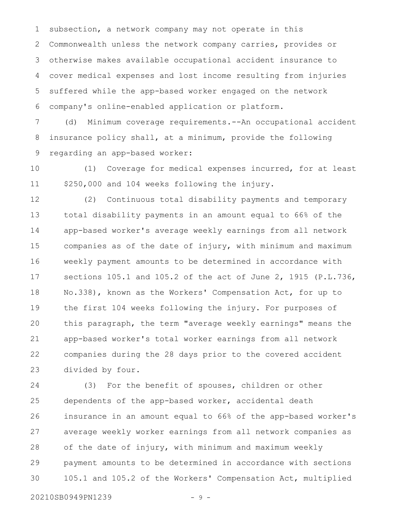subsection, a network company may not operate in this Commonwealth unless the network company carries, provides or otherwise makes available occupational accident insurance to cover medical expenses and lost income resulting from injuries suffered while the app-based worker engaged on the network company's online-enabled application or platform. 1 2 3 4 5 6

(d) Minimum coverage requirements.--An occupational accident insurance policy shall, at a minimum, provide the following regarding an app-based worker: 7 8 9

(1) Coverage for medical expenses incurred, for at least \$250,000 and 104 weeks following the injury. 10 11

(2) Continuous total disability payments and temporary total disability payments in an amount equal to 66% of the app-based worker's average weekly earnings from all network companies as of the date of injury, with minimum and maximum weekly payment amounts to be determined in accordance with sections 105.1 and 105.2 of the act of June 2, 1915 (P.L.736, No.338), known as the Workers' Compensation Act, for up to the first 104 weeks following the injury. For purposes of this paragraph, the term "average weekly earnings" means the app-based worker's total worker earnings from all network companies during the 28 days prior to the covered accident divided by four. 12 13 14 15 16 17 18 19 20 21 22 23

(3) For the benefit of spouses, children or other dependents of the app-based worker, accidental death insurance in an amount equal to 66% of the app-based worker's average weekly worker earnings from all network companies as of the date of injury, with minimum and maximum weekly payment amounts to be determined in accordance with sections 105.1 and 105.2 of the Workers' Compensation Act, multiplied 24 25 26 27 28 29 30

20210SB0949PN1239 - 9 -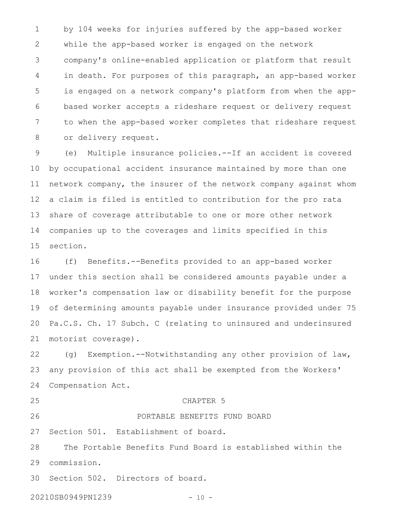by 104 weeks for injuries suffered by the app-based worker while the app-based worker is engaged on the network company's online-enabled application or platform that result in death. For purposes of this paragraph, an app-based worker is engaged on a network company's platform from when the appbased worker accepts a rideshare request or delivery request to when the app-based worker completes that rideshare request or delivery request. 1 2 3 4 5 6 7 8

(e) Multiple insurance policies.--If an accident is covered by occupational accident insurance maintained by more than one network company, the insurer of the network company against whom a claim is filed is entitled to contribution for the pro rata share of coverage attributable to one or more other network companies up to the coverages and limits specified in this section. 9 10 11 12 13 14 15

(f) Benefits.--Benefits provided to an app-based worker under this section shall be considered amounts payable under a worker's compensation law or disability benefit for the purpose of determining amounts payable under insurance provided under 75 Pa.C.S. Ch. 17 Subch. C (relating to uninsured and underinsured motorist coverage). 16 17 18 19 20 21

(g) Exemption.--Notwithstanding any other provision of law, any provision of this act shall be exempted from the Workers' Compensation Act. 22 23 24

25

#### CHAPTER 5

PORTABLE BENEFITS FUND BOARD

26

#### Section 501. Establishment of board. 27

The Portable Benefits Fund Board is established within the commission. 28 29

Section 502. Directors of board. 30

20210SB0949PN1239 - 10 -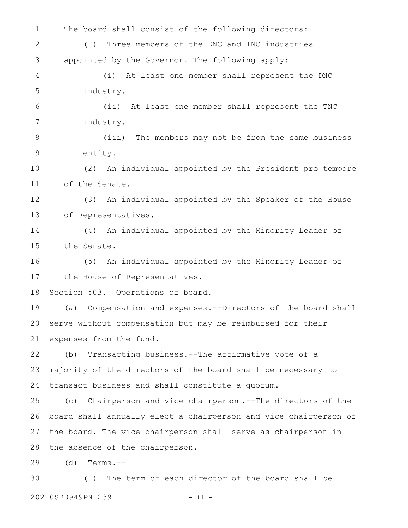The board shall consist of the following directors: (1) Three members of the DNC and TNC industries appointed by the Governor. The following apply: (i) At least one member shall represent the DNC industry. (ii) At least one member shall represent the TNC industry. (iii) The members may not be from the same business entity. (2) An individual appointed by the President pro tempore of the Senate. (3) An individual appointed by the Speaker of the House of Representatives. (4) An individual appointed by the Minority Leader of the Senate. (5) An individual appointed by the Minority Leader of the House of Representatives. Section 503. Operations of board. (a) Compensation and expenses.--Directors of the board shall serve without compensation but may be reimbursed for their expenses from the fund. (b) Transacting business.--The affirmative vote of a majority of the directors of the board shall be necessary to transact business and shall constitute a quorum. (c) Chairperson and vice chairperson.--The directors of the board shall annually elect a chairperson and vice chairperson of the board. The vice chairperson shall serve as chairperson in the absence of the chairperson. (d) Terms.-- (1) The term of each director of the board shall be 20210SB0949PN1239 - 11 -1 2 3 4 5 6 7 8 9 10 11 12 13 14 15 16 17 18 19 20 21 22 23 24 25 26 27 28 29 30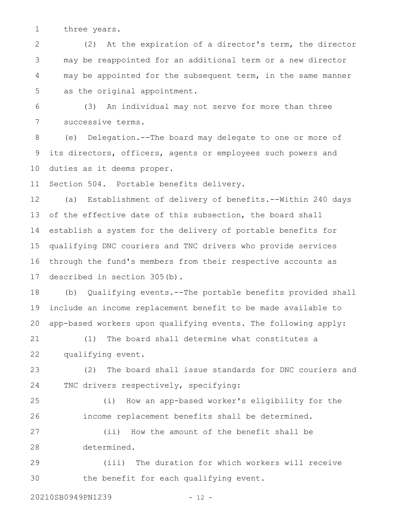three years. 1

(2) At the expiration of a director's term, the director may be reappointed for an additional term or a new director may be appointed for the subsequent term, in the same manner as the original appointment. 2 3 4 5

(3) An individual may not serve for more than three successive terms. 6 7

(e) Delegation.--The board may delegate to one or more of its directors, officers, agents or employees such powers and duties as it deems proper. 8 9 10

Section 504. Portable benefits delivery. 11

(a) Establishment of delivery of benefits.--Within 240 days of the effective date of this subsection, the board shall establish a system for the delivery of portable benefits for qualifying DNC couriers and TNC drivers who provide services through the fund's members from their respective accounts as described in section 305(b). 12 13 14 15 16 17

(b) Qualifying events.--The portable benefits provided shall include an income replacement benefit to be made available to app-based workers upon qualifying events. The following apply: 18 19 20

(1) The board shall determine what constitutes a qualifying event. 21 22

(2) The board shall issue standards for DNC couriers and TNC drivers respectively, specifying: 23 24

25

26

(i) How an app-based worker's eligibility for the

income replacement benefits shall be determined.

(ii) How the amount of the benefit shall be determined. 27 28

(iii) The duration for which workers will receive the benefit for each qualifying event. 29 30

20210SB0949PN1239 - 12 -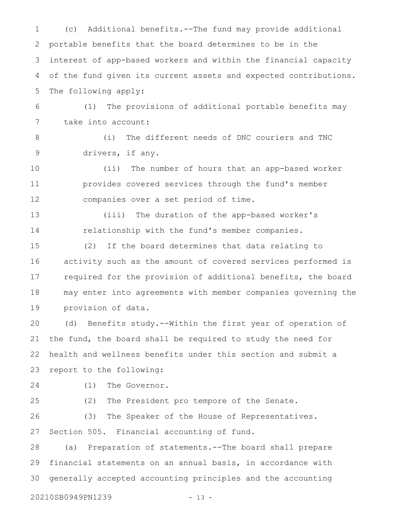(c) Additional benefits.--The fund may provide additional portable benefits that the board determines to be in the interest of app-based workers and within the financial capacity of the fund given its current assets and expected contributions. The following apply: (1) The provisions of additional portable benefits may take into account: (i) The different needs of DNC couriers and TNC drivers, if any. (ii) The number of hours that an app-based worker provides covered services through the fund's member companies over a set period of time. (iii) The duration of the app-based worker's relationship with the fund's member companies. (2) If the board determines that data relating to activity such as the amount of covered services performed is required for the provision of additional benefits, the board may enter into agreements with member companies governing the provision of data. (d) Benefits study.--Within the first year of operation of the fund, the board shall be required to study the need for health and wellness benefits under this section and submit a report to the following: (1) The Governor. (2) The President pro tempore of the Senate. (3) The Speaker of the House of Representatives. Section 505. Financial accounting of fund. (a) Preparation of statements.--The board shall prepare financial statements on an annual basis, in accordance with generally accepted accounting principles and the accounting 20210SB0949PN1239 - 13 - 1 2 3 4 5 6 7 8 9 10 11 12 13 14 15 16 17 18 19 20 21 22 23 24 25 26 27 28 29 30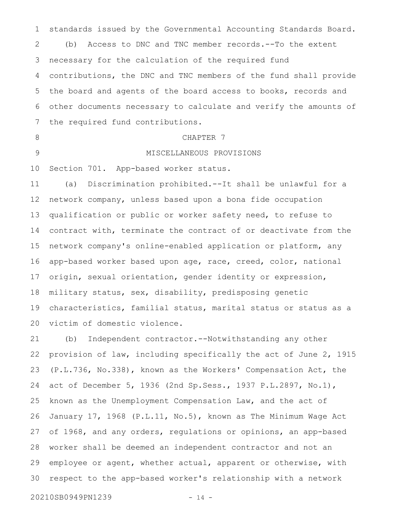standards issued by the Governmental Accounting Standards Board. (b) Access to DNC and TNC member records.--To the extent necessary for the calculation of the required fund contributions, the DNC and TNC members of the fund shall provide the board and agents of the board access to books, records and other documents necessary to calculate and verify the amounts of the required fund contributions. CHAPTER 7 MISCELLANEOUS PROVISIONS Section 701. App-based worker status. (a) Discrimination prohibited.--It shall be unlawful for a network company, unless based upon a bona fide occupation qualification or public or worker safety need, to refuse to contract with, terminate the contract of or deactivate from the network company's online-enabled application or platform, any app-based worker based upon age, race, creed, color, national origin, sexual orientation, gender identity or expression, military status, sex, disability, predisposing genetic characteristics, familial status, marital status or status as a victim of domestic violence. 1 2 3 4 5 6 7 8 9 10 11 12 13 14 15 16 17 18 19 20

(b) Independent contractor.--Notwithstanding any other provision of law, including specifically the act of June 2, 1915 (P.L.736, No.338), known as the Workers' Compensation Act, the act of December 5, 1936 (2nd Sp.Sess., 1937 P.L.2897, No.1), known as the Unemployment Compensation Law, and the act of January 17, 1968 (P.L.11, No.5), known as The Minimum Wage Act of 1968, and any orders, regulations or opinions, an app-based worker shall be deemed an independent contractor and not an employee or agent, whether actual, apparent or otherwise, with respect to the app-based worker's relationship with a network 21 22 23 24 25 26 27 28 29 30

20210SB0949PN1239 - 14 -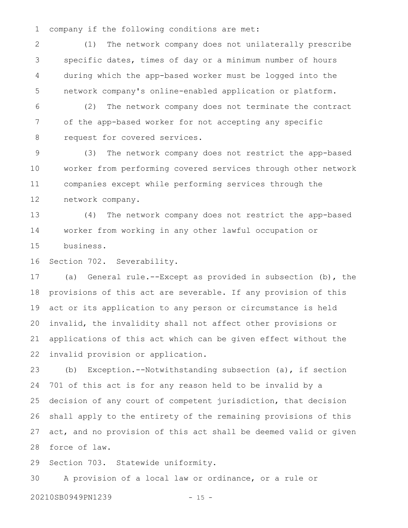company if the following conditions are met: 1

(1) The network company does not unilaterally prescribe specific dates, times of day or a minimum number of hours during which the app-based worker must be logged into the network company's online-enabled application or platform. 2 3 4 5

(2) The network company does not terminate the contract of the app-based worker for not accepting any specific request for covered services. 6 7 8

(3) The network company does not restrict the app-based worker from performing covered services through other network companies except while performing services through the network company. 9 10 11 12

(4) The network company does not restrict the app-based worker from working in any other lawful occupation or business. 13 14 15

Section 702. Severability. 16

(a) General rule.--Except as provided in subsection (b), the provisions of this act are severable. If any provision of this act or its application to any person or circumstance is held invalid, the invalidity shall not affect other provisions or applications of this act which can be given effect without the invalid provision or application. 17 18 19 20 21 22

(b) Exception.--Notwithstanding subsection (a), if section 701 of this act is for any reason held to be invalid by a decision of any court of competent jurisdiction, that decision shall apply to the entirety of the remaining provisions of this act, and no provision of this act shall be deemed valid or given force of law. 23 24 25 26 27 28

Section 703. Statewide uniformity. 29

A provision of a local law or ordinance, or a rule or 20210SB0949PN1239 - 15 -30